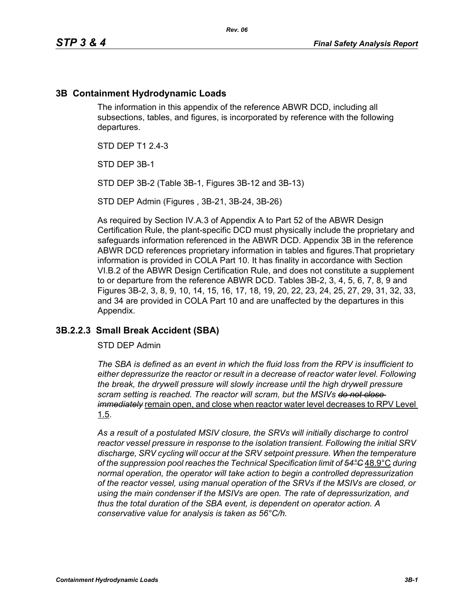## **3B Containment Hydrodynamic Loads**

The information in this appendix of the reference ABWR DCD, including all subsections, tables, and figures, is incorporated by reference with the following departures.

STD DFP T1 2 4-3

STD DEP 3B-1

STD DEP 3B-2 (Table 3B-1, Figures 3B-12 and 3B-13)

STD DEP Admin (Figures , 3B-21, 3B-24, 3B-26)

As required by Section IV.A.3 of Appendix A to Part 52 of the ABWR Design Certification Rule, the plant-specific DCD must physically include the proprietary and safeguards information referenced in the ABWR DCD. Appendix 3B in the reference ABWR DCD references proprietary information in tables and figures.That proprietary information is provided in COLA Part 10. It has finality in accordance with Section VI.B.2 of the ABWR Design Certification Rule, and does not constitute a supplement to or departure from the reference ABWR DCD. Tables 3B-2, 3, 4, 5, 6, 7, 8, 9 and Figures 3B-2, 3, 8, 9, 10, 14, 15, 16, 17, 18, 19, 20, 22, 23, 24, 25, 27, 29, 31, 32, 33, and 34 are provided in COLA Part 10 and are unaffected by the departures in this Appendix.

#### **3B.2.2.3 Small Break Accident (SBA)**

STD DEP Admin

*The SBA is defined as an event in which the fluid loss from the RPV is insufficient to either depressurize the reactor or result in a decrease of reactor water level. Following the break, the drywell pressure will slowly increase until the high drywell pressure scram setting is reached. The reactor will scram, but the MSIVs do not close immediately* remain open, and close when reactor water level decreases to RPV Level 1.5.

*As a result of a postulated MSIV closure, the SRVs will initially discharge to control reactor vessel pressure in response to the isolation transient. Following the initial SRV discharge, SRV cycling will occur at the SRV setpoint pressure. When the temperature of the suppression pool reaches the Technical Specification limit of 54°C* 48.9°C *during normal operation, the operator will take action to begin a controlled depressurization of the reactor vessel, using manual operation of the SRVs if the MSIVs are closed, or using the main condenser if the MSIVs are open. The rate of depressurization, and thus the total duration of the SBA event, is dependent on operator action. A conservative value for analysis is taken as 56°C/h.*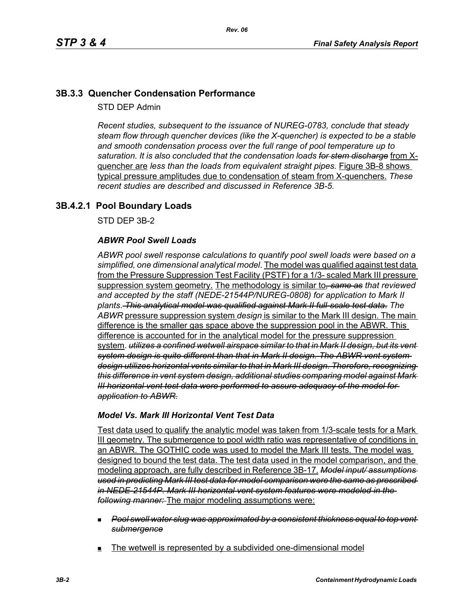# **3B.3.3 Quencher Condensation Performance**

STD DEP Admin

*Recent studies, subsequent to the issuance of NUREG-0783, conclude that steady steam flow through quencher devices (like the X-quencher) is expected to be a stable and smooth condensation process over the full range of pool temperature up to saturation. It is also concluded that the condensation loads for stem discharge* from Xquencher are *less than the loads from equivalent straight pipes.* Figure 3B-8 shows typical pressure amplitudes due to condensation of steam from X-quenchers. *These recent studies are described and discussed in Reference 3B-5.*

# **3B.4.2.1 Pool Boundary Loads**

STD DEP 3B-2

## *ABWR Pool Swell Loads*

*ABWR pool swell response calculations to quantify pool swell loads were based on a simplified, one dimensional analytical model*. The model was qualified against test data from the Pressure Suppression Test Facility (PSTF) for a 1/3- scaled Mark III pressure suppression system geometry. The methodology is similar to*, same as that reviewed and accepted by the staff (NEDE-21544P/NUREG-0808) for application to Mark II plants*. *This analytical model was qualified against Mark II full-scale test data*. *The ABWR* pressure suppression system *design* is similar to the Mark III design. The main difference is the smaller gas space above the suppression pool in the ABWR. This difference is accounted for in the analytical model for the pressure suppression system. *utilizes a confined wetwell airspace similar to that in Mark II design, but its vent system design is quite different than that in Mark II design. The ABWR vent system design utilizes horizontal vents similar to that in Mark III design. Therefore, recognizing this difference in vent system design, additional studies comparing model against Mark III horizontal vent test data were performed to assure adequacy of the model for application to ABWR.*

#### *Model Vs. Mark III Horizontal Vent Test Data*

Test data used to qualify the analytic model was taken from 1/3-scale tests for a Mark III geometry. The submergence to pool width ratio was representative of conditions in an ABWR. The GOTHIC code was used to model the Mark III tests. The model was designed to bound the test data. The test data used in the model comparison, and the modeling approach, are fully described in Reference 3B-17. *Model input/ assumptions used in predicting Mark III test data for model comparison were the same as prescribed in NEDE-21544P. Mark III horizontal vent system features were modeled in the following manner:* The major modeling assumptions were:

- *Pool swell water slug was approximated by a consistent thickness equal to top vent submergence*
- The wetwell is represented by a subdivided one-dimensional model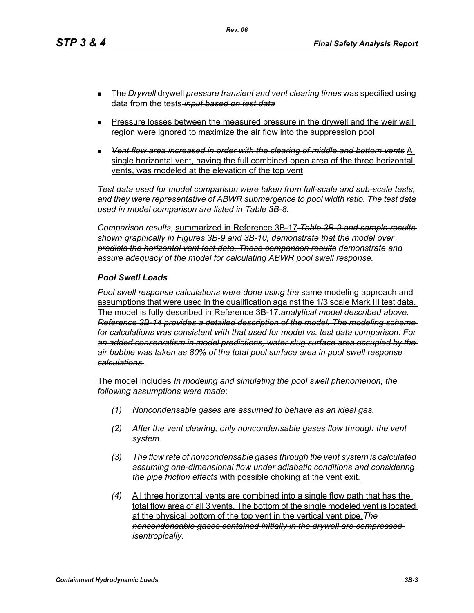*Rev. 06*

- The *Drywell* drywell *pressure transient and vent clearing times* was specified using data from the tests *input based on test data*
- **Pressure losses between the measured pressure in the drywell and the weir wall** region were ignored to maximize the air flow into the suppression pool
- *Vent flow area increased in order with the clearing of middle and bottom vents* A single horizontal vent, having the full combined open area of the three horizontal vents, was modeled at the elevation of the top vent

*Test data used for model comparison were taken from full-scale and sub-scale tests, and they were representative of ABWR submergence to pool width ratio. The test data used in model comparison are listed in Table 3B-8.*

*Comparison results,* summarized in Reference 3B-17 *Table 3B-9 and sample results shown graphically in Figures 3B-9 and 3B-10, demonstrate that the model over predicts the horizontal vent test data. These comparison results demonstrate and assure adequacy of the model for calculating ABWR pool swell response.*

#### *Pool Swell Loads*

*Pool swell response calculations were done using the* same modeling approach and assumptions that were used in the qualification against the 1/3 scale Mark III test data. The model is fully described in Reference 3B-17.*analytical model described above. Reference 3B-14 provides a detailed description of the model. The modeling scheme for calculations was consistent with that used for model vs. test data comparison. For an added conservatism in model predictions, water slug surface area occupied by the air bubble was taken as 80% of the total pool surface area in pool swell response calculations.*

The model includes *In modeling and simulating the pool swell phenomenon, the following assumptions were made*:

- *(1) Noncondensable gases are assumed to behave as an ideal gas.*
- *(2) After the vent clearing, only noncondensable gases flow through the vent system.*
- *(3) The flow rate of noncondensable gases through the vent system is calculated assuming one-dimensional flow under adiabatic conditions and considering the pipe friction effects* with possible choking at the vent exit.
- *(4)* All three horizontal vents are combined into a single flow path that has the total flow area of all 3 vents. The bottom of the single modeled vent is located at the physical bottom of the top vent in the vertical vent pipe.*The noncondensable gases contained initially in the drywell are compressed isentropically.*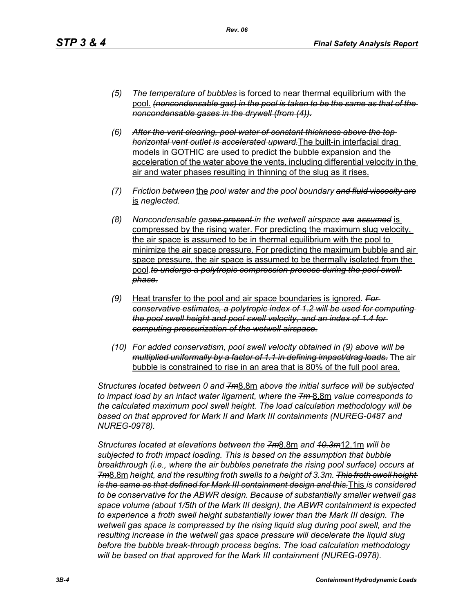- *(5) The temperature of bubbles* is forced to near thermal equilibrium with the pool. *(noncondensable gas) in the pool is taken to be the same as that of the noncondensable gases in the drywell (from (4)).*
- *(6) After the vent clearing, pool water of constant thickness above the top horizontal vent outlet is accelerated upward.*The built-in interfacial drag models in GOTHIC are used to predict the bubble expansion and the acceleration of the water above the vents, including differential velocity in the air and water phases resulting in thinning of the slug as it rises.
- *(7) Friction between* the *pool water and the pool boundary and fluid viscosity are* is *neglected.*
- *(8) Noncondensable gases present in the wetwell airspace are assumed* is compressed by the rising water. For predicting the maximum slug velocity, the air space is assumed to be in thermal equilibrium with the pool to minimize the air space pressure. For predicting the maximum bubble and air space pressure, the air space is assumed to be thermally isolated from the pool.to undergo a polytropic compression process during the pool swell *phase.*
- *(9)* Heat transfer to the pool and air space boundaries is ignored*. For conservative estimates, a polytropic index of 1.2 will be used for computing the pool swell height and pool swell velocity, and an index of 1.4 for computing pressurization of the wetwell airspace.*
- *(10) For added conservatism, pool swell velocity obtained in (9) above will be multiplied uniformally by a factor of 1.1 in defining impact/drag loads.* The air bubble is constrained to rise in an area that is 80% of the full pool area.

*Structures located between 0 and 7m*8.8m *above the initial surface will be subjected to impact load by an intact water ligament, where the 7m* 8.8m *value corresponds to the calculated maximum pool swell height. The load calculation methodology will be based on that approved for Mark II and Mark III containments (NUREG-0487 and NUREG-0978).*

*Structures located at elevations between the 7m*8.8m *and 10.3m*12.1m *will be subjected to froth impact loading. This is based on the assumption that bubble breakthrough (i.e., where the air bubbles penetrate the rising pool surface) occurs at 7m*8.8m *height, and the resulting froth swells to a height of 3.3m. This froth swell height is the same as that defined for Mark III containment design and this.*This *is considered to be conservative for the ABWR design. Because of substantially smaller wetwell gas space volume (about 1/5th of the Mark III design), the ABWR containment is expected to experience a froth swell height substantially lower than the Mark III design. The wetwell gas space is compressed by the rising liquid slug during pool swell, and the resulting increase in the wetwell gas space pressure will decelerate the liquid slug before the bubble break-through process begins. The load calculation methodology will be based on that approved for the Mark III containment (NUREG-0978).*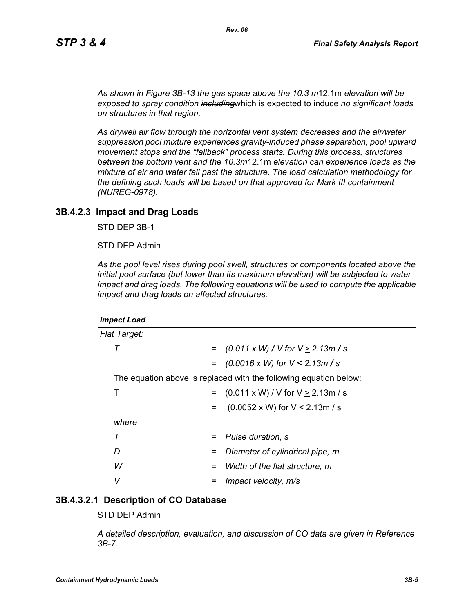*As shown in Figure 3B-13 the gas space above the 10.3 m*12.1m *elevation will be exposed to spray condition including*which is expected to induce *no significant loads on structures in that region.* 

*As drywell air flow through the horizontal vent system decreases and the air/water suppression pool mixture experiences gravity-induced phase separation, pool upward movement stops and the "fallback" process starts. During this process, structures between the bottom vent and the 10.3m*12.1m *elevation can experience loads as the mixture of air and water fall past the structure. The load calculation methodology for the defining such loads will be based on that approved for Mark III containment (NUREG-0978).*

#### **3B.4.2.3 Impact and Drag Loads**

STD DEP 3B-1

STD DEP Admin

*As the pool level rises during pool swell, structures or components located above the initial pool surface (but lower than its maximum elevation) will be subjected to water impact and drag loads. The following equations will be used to compute the applicable impact and drag loads on affected structures.*

| <b>Impact Load</b>                                                |                                               |
|-------------------------------------------------------------------|-----------------------------------------------|
| <b>Flat Target:</b>                                               |                                               |
| т<br>$=$                                                          | $(0.011 \times W)$ / V for V $\geq$ 2.13m / s |
|                                                                   | $=$ (0.0016 x W) for V < 2.13m / s            |
| The equation above is replaced with the following equation below: |                                               |
| Т<br>$=$                                                          | $(0.011 \times W) / V$ for $V \ge 2.13$ m / s |
| $=$                                                               | $(0.0052 \times W)$ for V < 2.13m / s         |
| where                                                             |                                               |
| Τ<br>$=$                                                          | Pulse duration, s                             |
| D<br>=                                                            | Diameter of cylindrical pipe, m               |
| W<br>=                                                            | Width of the flat structure, m                |
| v                                                                 | Impact velocity, m/s                          |

#### **3B.4.3.2.1 Description of CO Database**

STD DEP Admin

*A detailed description, evaluation, and discussion of CO data are given in Reference 3B-7.*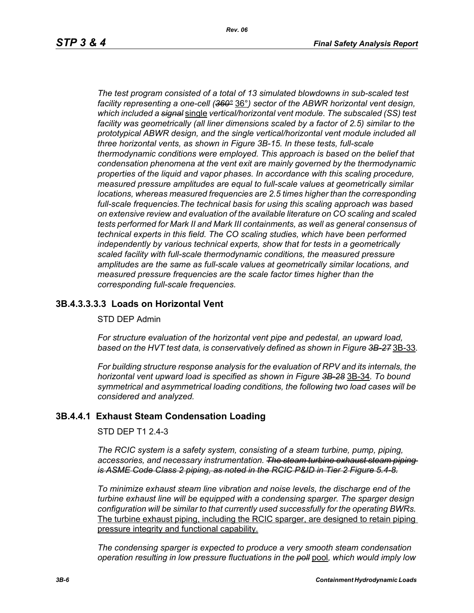*The test program consisted of a total of 13 simulated blowdowns in sub-scaled test facility representing a one-cell (360°* 36°*) sector of the ABWR horizontal vent design, which included a signal* single *vertical/horizontal vent module. The subscaled (SS) test facility was geometrically (all liner dimensions scaled by a factor of 2.5) similar to the prototypical ABWR design, and the single vertical/horizontal vent module included all three horizontal vents, as shown in Figure 3B-15. In these tests, full-scale thermodynamic conditions were employed. This approach is based on the belief that condensation phenomena at the vent exit are mainly governed by the thermodynamic properties of the liquid and vapor phases. In accordance with this scaling procedure, measured pressure amplitudes are equal to full-scale values at geometrically similar locations, whereas measured frequencies are 2.5 times higher than the corresponding full-scale frequencies.The technical basis for using this scaling approach was based on extensive review and evaluation of the available literature on CO scaling and scaled tests performed for Mark II and Mark III containments, as well as general consensus of technical experts in this field. The CO scaling studies, which have been performed independently by various technical experts, show that for tests in a geometrically scaled facility with full-scale thermodynamic conditions, the measured pressure amplitudes are the same as full-scale values at geometrically similar locations, and measured pressure frequencies are the scale factor times higher than the corresponding full-scale frequencies.*

# **3B.4.3.3.3.3 Loads on Horizontal Vent**

#### STD DEP Admin

*For structure evaluation of the horizontal vent pipe and pedestal, an upward load, based on the HVT test data, is conservatively defined as shown in Figure 3B-27* 3B-33*.*

*For building structure response analysis for the evaluation of RPV and its internals, the horizontal vent upward load is specified as shown in Figure 3B-28* 3B-34*. To bound symmetrical and asymmetrical loading conditions, the following two load cases will be considered and analyzed.*

#### **3B.4.4.1 Exhaust Steam Condensation Loading**

STD DEP T1 2.4-3

*The RCIC system is a safety system, consisting of a steam turbine, pump, piping, accessories, and necessary instrumentation. The steam turbine exhaust steam piping is ASME Code Class 2 piping, as noted in the RCIC P&ID in Tier 2 Figure 5.4-8.*

*To minimize exhaust steam line vibration and noise levels, the discharge end of the turbine exhaust line will be equipped with a condensing sparger. The sparger design configuration will be similar to that currently used successfully for the operating BWRs.* The turbine exhaust piping, including the RCIC sparger, are designed to retain piping pressure integrity and functional capability.

*The condensing sparger is expected to produce a very smooth steam condensation operation resulting in low pressure fluctuations in the poll* pool*, which would imply low*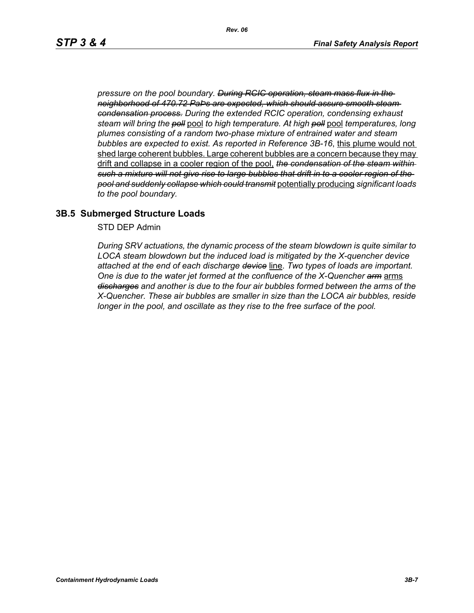*pressure on the pool boundary. During RCIC operation, steam mass flux in the neighborhood of 470.72 PaÞs are expected, which should assure smooth steam condensation process. During the extended RCIC operation, condensing exhaust steam will bring the poll* pool *to high temperature. At high poll* pool *temperatures, long plumes consisting of a random two-phase mixture of entrained water and steam bubbles are expected to exist. As reported in Reference 3B-16*, this plume would not shed large coherent bubbles. Large coherent bubbles are a concern because they may drift and collapse in a cooler region of the pool, *the condensation of the steam within such a mixture will not give rise to large bubbles that drift in to a cooler region of the pool and suddenly collapse which could transmit* potentially producing *significant loads to the pool boundary.*

#### **3B.5 Submerged Structure Loads**

STD DEP Admin

*During SRV actuations, the dynamic process of the steam blowdown is quite similar to LOCA steam blowdown but the induced load is mitigated by the X-quencher device attached at the end of each discharge device* line. *Two types of loads are important. One is due to the water jet formed at the confluence of the X-Quencher arm* arms *discharges and another is due to the four air bubbles formed between the arms of the X-Quencher. These air bubbles are smaller in size than the LOCA air bubbles, reside longer in the pool, and oscillate as they rise to the free surface of the pool.*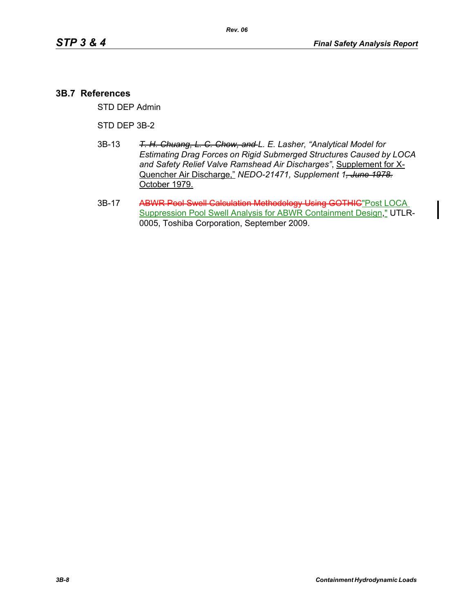## **3B.7 References**

STD DEP Admin

#### STD DEP 3B-2

- 3B-13 *T. H. Chuang, L. C. Chow, and L. E. Lasher, "Analytical Model for Estimating Drag Forces on Rigid Submerged Structures Caused by LOCA and Safety Relief Valve Ramshead Air Discharges"*, Supplement for X-Quencher Air Discharge," *NEDO-21471, Supplement 1, June 1978.* October 1979.
- 3B-17 ABWR Pool Swell Calculation Methodology Using GOTHIC"Post LOCA Suppression Pool Swell Analysis for ABWR Containment Design," UTLR-0005, Toshiba Corporation, September 2009.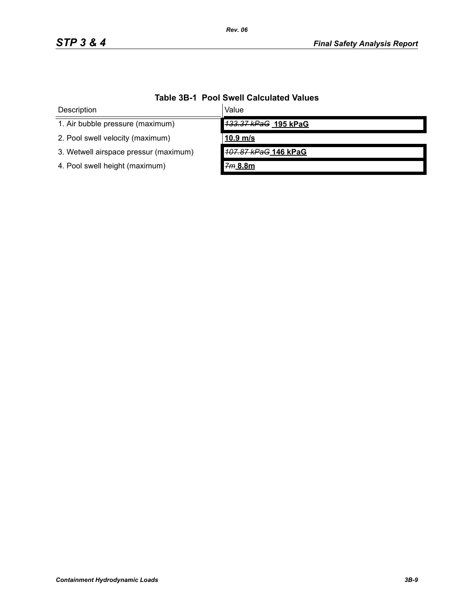| Description                           | Value                |  |
|---------------------------------------|----------------------|--|
| 1. Air bubble pressure (maximum)      | 133.37 kPaG 195 kPaG |  |
| 2. Pool swell velocity (maximum)      | $10.9$ m/s           |  |
| 3. Wetwell airspace pressur (maximum) | 107.87 kPaG 146 kPaG |  |
| 4. Pool swell height (maximum)        | 7m 8.8m              |  |

# **Table 3B-1 Pool Swell Calculated Values**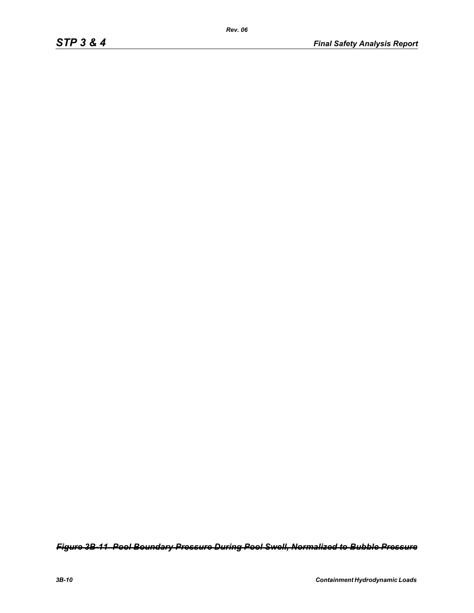*Figure 3B-11 Pool Boundary Pressure During Pool Swell, Normalized to Bubble Pressure*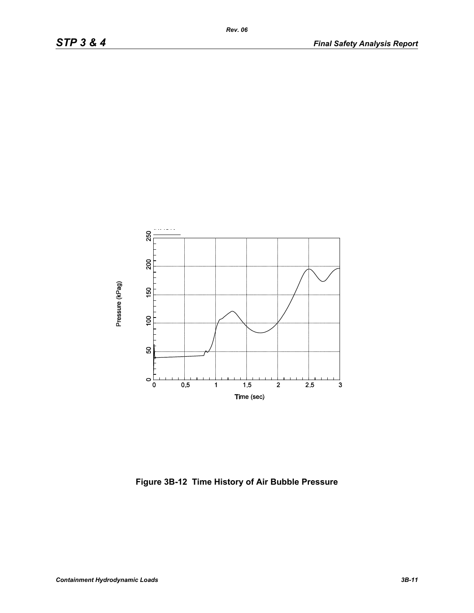

**Figure 3B-12 Time History of Air Bubble Pressure**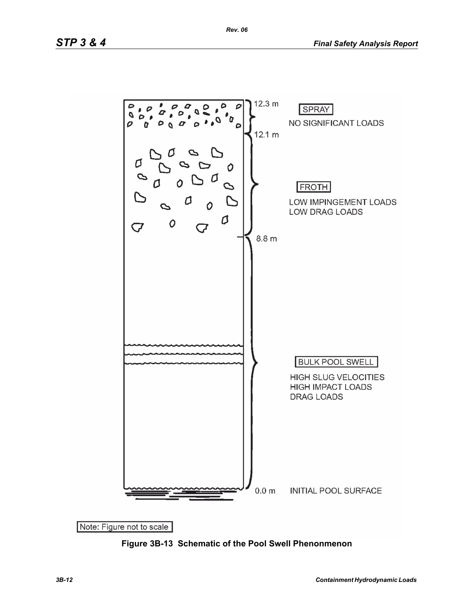

**Figure 3B-13 Schematic of the Pool Swell Phenonmenon**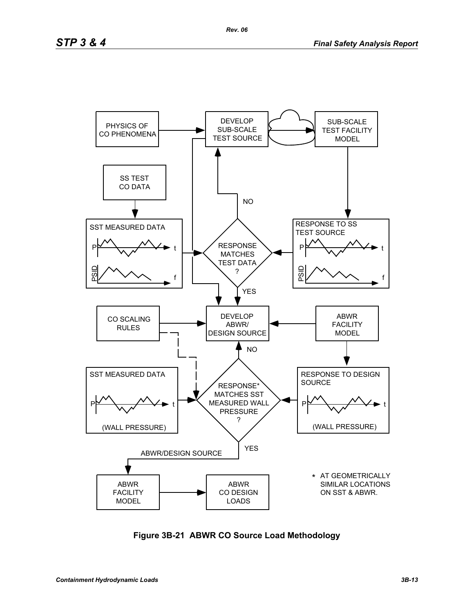

**Figure 3B-21 ABWR CO Source Load Methodology**